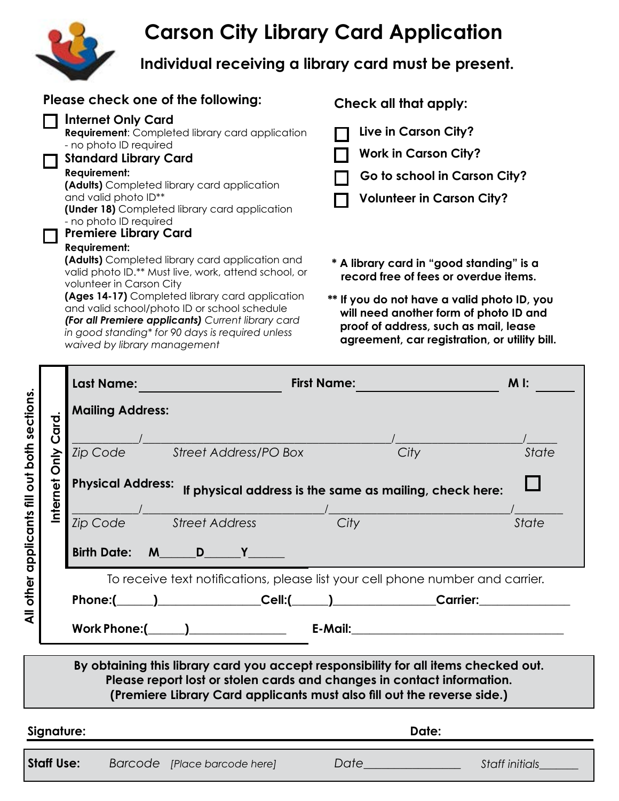# **Carson City Library Card Application**



**Individual receiving a library card must be present.**

| Please check one of the following:                                                                                                                                                                                                                                                                                                              | Check all that apply:                                                                                                                                                           |  |  |  |
|-------------------------------------------------------------------------------------------------------------------------------------------------------------------------------------------------------------------------------------------------------------------------------------------------------------------------------------------------|---------------------------------------------------------------------------------------------------------------------------------------------------------------------------------|--|--|--|
| <b>Internet Only Card</b><br><b>Requirement:</b> Completed library card application<br>- no photo ID required<br><b>Standard Library Card</b><br>Requirement:<br>(Adults) Completed library card application<br>and valid photo ID**<br>(Under 18) Completed library card application<br>- no photo ID required<br><b>Premiere Library Card</b> | Live in Carson City?<br><b>Work in Carson City?</b><br>Go to school in Carson City?<br><b>Volunteer in Carson City?</b>                                                         |  |  |  |
| Requirement:<br><b>(Adults)</b> Completed library card application and<br>valid photo ID.** Must live, work, attend school, or<br>volunteer in Carson City                                                                                                                                                                                      | * A library card in "good standing" is a<br>record free of fees or overdue items.                                                                                               |  |  |  |
| (Ages 14-17) Completed library card application<br>and valid school/photo ID or school schedule<br>(For all Premiere applicants) Current library card<br>in good standing* for 90 days is required unless<br>waived by library management                                                                                                       | ** If you do not have a valid photo ID, you<br>will need another form of photo ID and<br>proof of address, such as mail, lease<br>agreement, car registration, or utility bill. |  |  |  |

|                                                                                                                                                                                                                                          |                                         | <b>Last Name:</b>       |                          |                                       |                                                                                                                                                                                                                                                                                                                         | <b>First Name:</b>                                                                                                                                                                                                                                                                                                                                                                                                   |      |                                                         | $Ml$ :         |
|------------------------------------------------------------------------------------------------------------------------------------------------------------------------------------------------------------------------------------------|-----------------------------------------|-------------------------|--------------------------|---------------------------------------|-------------------------------------------------------------------------------------------------------------------------------------------------------------------------------------------------------------------------------------------------------------------------------------------------------------------------|----------------------------------------------------------------------------------------------------------------------------------------------------------------------------------------------------------------------------------------------------------------------------------------------------------------------------------------------------------------------------------------------------------------------|------|---------------------------------------------------------|----------------|
| sections                                                                                                                                                                                                                                 |                                         | <b>Mailing Address:</b> |                          |                                       |                                                                                                                                                                                                                                                                                                                         |                                                                                                                                                                                                                                                                                                                                                                                                                      |      |                                                         |                |
| applicants fill out both                                                                                                                                                                                                                 | $\frac{d}{dt}$<br>Ŭ<br>Only<br>Internet |                         | <b>Physical Address:</b> | <i><u>zip Code Street Address</u></i> | Zip Code Street Address/PO Box<br>Birth Date: $M \qquad D \qquad Y \qquad$                                                                                                                                                                                                                                              | $\frac{1}{\sqrt{1-\frac{1}{2}}\sqrt{1-\frac{1}{2}}\sqrt{1-\frac{1}{2}}\sqrt{1-\frac{1}{2}}\sqrt{1-\frac{1}{2}}\sqrt{1-\frac{1}{2}}\sqrt{1-\frac{1}{2}}\sqrt{1-\frac{1}{2}}\sqrt{1-\frac{1}{2}}\sqrt{1-\frac{1}{2}}\sqrt{1-\frac{1}{2}}\sqrt{1-\frac{1}{2}}\sqrt{1-\frac{1}{2}}\sqrt{1-\frac{1}{2}}\sqrt{1-\frac{1}{2}}\sqrt{1-\frac{1}{2}}\sqrt{1-\frac{1}{2}}\sqrt{1-\frac{1}{2}}\sqrt{1-\frac{1}{2}}\sqrt{1-\frac$ | City | If physical address is the same as mailing, check here: | State<br>State |
| other                                                                                                                                                                                                                                    |                                         |                         |                          |                                       | To receive text notifications, please list your cell phone number and carrier.<br>Phone:( <u>University Cell:(University Community Community Community Community Community Community Community Community Community Community Community Community Community Community Community Community Community Community Commun</u> |                                                                                                                                                                                                                                                                                                                                                                                                                      |      |                                                         |                |
| ₹                                                                                                                                                                                                                                        |                                         |                         |                          |                                       |                                                                                                                                                                                                                                                                                                                         |                                                                                                                                                                                                                                                                                                                                                                                                                      |      |                                                         |                |
| By obtaining this library card you accept responsibility for all items checked out.<br>Please report lost or stolen cards and changes in contact information.<br>(Premiere Library Card applicants must also fill out the reverse side.) |                                         |                         |                          |                                       |                                                                                                                                                                                                                                                                                                                         |                                                                                                                                                                                                                                                                                                                                                                                                                      |      |                                                         |                |
| Signature:<br>Date:                                                                                                                                                                                                                      |                                         |                         |                          |                                       |                                                                                                                                                                                                                                                                                                                         |                                                                                                                                                                                                                                                                                                                                                                                                                      |      |                                                         |                |
|                                                                                                                                                                                                                                          | <b>Staff Use:</b>                       |                         |                          |                                       |                                                                                                                                                                                                                                                                                                                         |                                                                                                                                                                                                                                                                                                                                                                                                                      |      |                                                         |                |